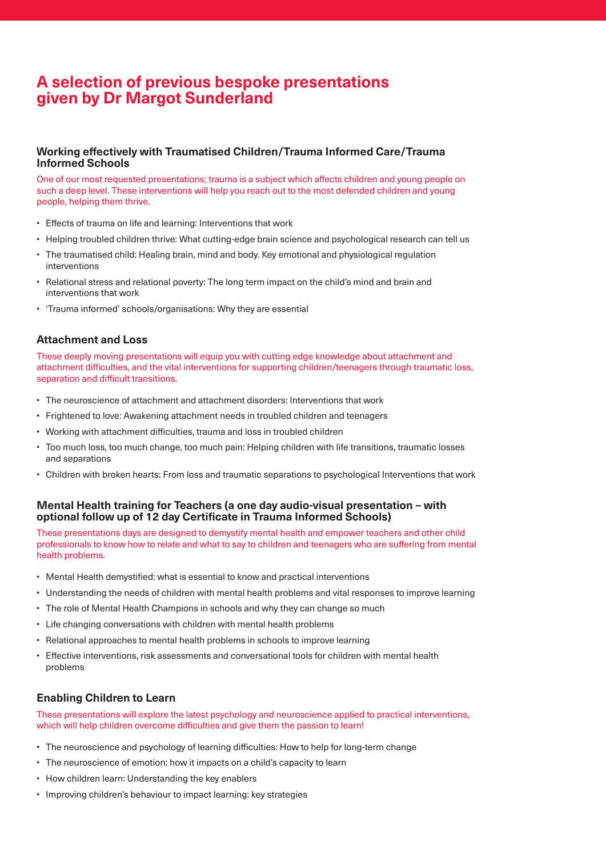# **A selection of previous bespoke presentations given by Dr Margot Sunderland**

## **Working effectively with Traumatised Children/Trauma Informed Care/Trauma Informed Schools**

One of our most requested presentations; trauma is a subject which affects children and young people on such a deep level. These interventions will help you reach out to the most defended children and young people, helping them thrive.

- Effects of trauma on life and learning: Interventions that work
- Helping troubled children thrive: What cutting-edge brain science and psychological research can tell us
- The traumatised child: Healing brain, mind and body. Key emotional and physiological regulation interventions
- Relational stress and relational poverty: The long term impact on the child's mind and brain and interventions that work
- 'Trauma informed' schools/organisations: Why they are essential

#### **Attachment and Loss**

These deeply moving presentations will equip you with cutting edge knowledge about attachment and attachment difficulties, and the vital interventions for supporting children/teenagers through traumatic loss, separation and difficult transitions.

- The neuroscience of attachment and attachment disorders: Interventions that work
- Frightened to love: Awakening attachment needs in troubled children and teenagers
- Working with attachment difficulties, trauma and loss in troubled children
- Too much loss, too much change, too much pain: Helping children with life transitions, traumatic losses and separations
- Children with broken hearts: From loss and traumatic separations to psychological Interventions that work

#### **Mental Health training for Teachers (a one day audio-visual presentation – with optional follow up of 12 day Certificate in Trauma Informed Schools)**

These presentations days are designed to demystify mental health and empower teachers and other child professionals to know how to relate and what to say to children and teenagers who are suffering from mental health problems.

- Mental Health demystified: what is essential to know and practical interventions
- Understanding the needs of children with mental health problems and vital responses to improve learning
- The role of Mental Health Champions in schools and why they can change so much
- Life changing conversations with children with mental health problems
- Relational approaches to mental health problems in schools to improve learning
- Effective interventions, risk assessments and conversational tools for children with mental health problems

#### **Enabling Children to Learn**

These presentations will explore the latest psychology and neuroscience applied to practical interventions, which will help children overcome difficulties and give them the passion to learn!

- The neuroscience and psychology of learning difficulties: How to help for long-term change
- The neuroscience of emotion: how it impacts on a child's capacity to learn
- How children learn: Understanding the key enablers
- Improving children's behaviour to impact learning: key strategies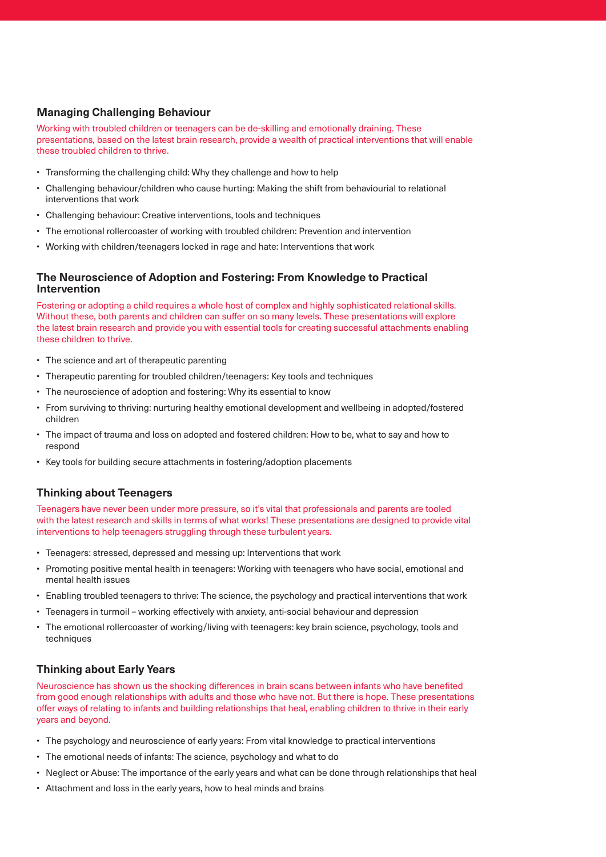# **Managing Challenging Behaviour**

Working with troubled children or teenagers can be de-skilling and emotionally draining. These presentations, based on the latest brain research, provide a wealth of practical interventions that will enable these troubled children to thrive.

- Transforming the challenging child: Why they challenge and how to help
- Challenging behaviour/children who cause hurting: Making the shift from behaviourial to relational interventions that work
- Challenging behaviour: Creative interventions, tools and techniques
- The emotional rollercoaster of working with troubled children: Prevention and intervention
- Working with children/teenagers locked in rage and hate: Interventions that work

## **The Neuroscience of Adoption and Fostering: From Knowledge to Practical Intervention**

Fostering or adopting a child requires a whole host of complex and highly sophisticated relational skills. Without these, both parents and children can suffer on so many levels. These presentations will explore the latest brain research and provide you with essential tools for creating successful attachments enabling these children to thrive.

- The science and art of therapeutic parenting
- Therapeutic parenting for troubled children/teenagers: Key tools and techniques
- The neuroscience of adoption and fostering: Why its essential to know
- From surviving to thriving: nurturing healthy emotional development and wellbeing in adopted/fostered children
- The impact of trauma and loss on adopted and fostered children: How to be, what to say and how to respond
- Key tools for building secure attachments in fostering/adoption placements

# **Thinking about Teenagers**

Teenagers have never been under more pressure, so it's vital that professionals and parents are tooled with the latest research and skills in terms of what works! These presentations are designed to provide vital interventions to help teenagers struggling through these turbulent years.

- Teenagers: stressed, depressed and messing up: Interventions that work
- Promoting positive mental health in teenagers: Working with teenagers who have social, emotional and mental health issues
- Enabling troubled teenagers to thrive: The science, the psychology and practical interventions that work
- Teenagers in turmoil working effectively with anxiety, anti-social behaviour and depression
- The emotional rollercoaster of working/living with teenagers: key brain science, psychology, tools and techniques

# **Thinking about Early Years**

Neuroscience has shown us the shocking differences in brain scans between infants who have benefited from good enough relationships with adults and those who have not. But there is hope. These presentations offer ways of relating to infants and building relationships that heal, enabling children to thrive in their early years and beyond.

- The psychology and neuroscience of early years: From vital knowledge to practical interventions
- The emotional needs of infants: The science, psychology and what to do
- Neglect or Abuse: The importance of the early years and what can be done through relationships that heal
- Attachment and loss in the early years, how to heal minds and brains